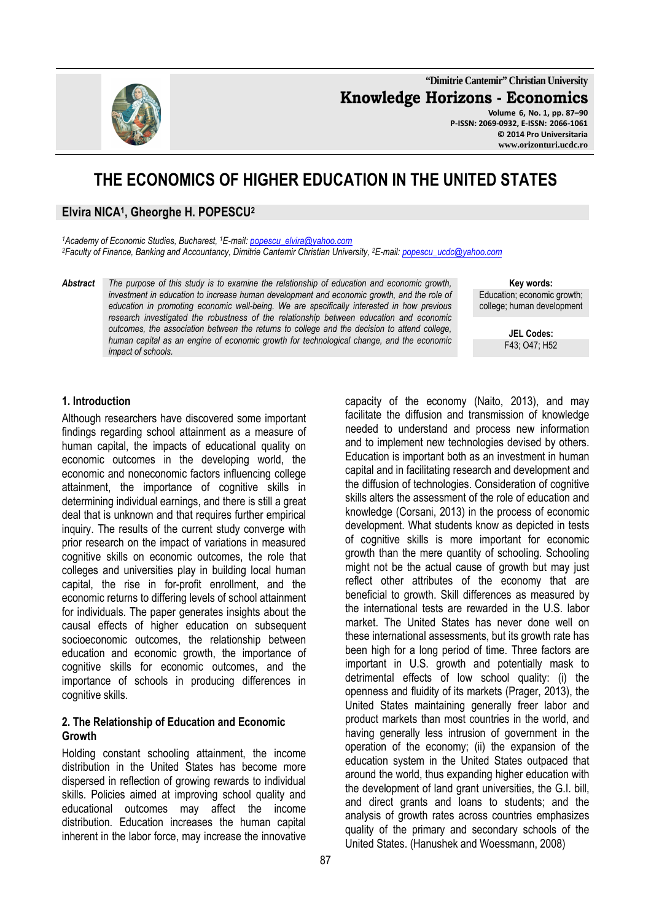**"Dimitrie Cantemir" Christian University Knowledge Horizons - Economics Volume 6, No. 1, pp. 87–90** 

**P-ISSN: 2069-0932, E-ISSN: 2066-1061 © 2014 Pro Universitaria www.orizonturi.ucdc.ro**

# **THE ECONOMICS OF HIGHER EDUCATION IN THE UNITED STATES**

# **Elvira NICA<sup>1</sup> , Gheorghe H. POPESCU<sup>2</sup>**

*<sup>1</sup>Academy of Economic Studies, Bucharest, <sup>1</sup>E-mail: popescu\_elvira@yahoo.com <sup>2</sup>Faculty of Finance, Banking and Accountancy, Dimitrie Cantemir Christian University, <sup>2</sup>E-mail: popescu\_ucdc@yahoo.com* 

*Abstract The purpose of this study is to examine the relationship of education and economic growth, investment in education to increase human development and economic growth, and the role of education in promoting economic well-being. We are specifically interested in how previous research investigated the robustness of the relationship between education and economic outcomes, the association between the returns to college and the decision to attend college, human capital as an engine of economic growth for technological change, and the economic impact of schools.* 

**Key words:** Education; economic growth; college; human development

> **JEL Codes:** F43; O47; H52

#### **1. Introduction**

Although researchers have discovered some important findings regarding school attainment as a measure of human capital, the impacts of educational quality on economic outcomes in the developing world, the economic and noneconomic factors influencing college attainment, the importance of cognitive skills in determining individual earnings, and there is still a great deal that is unknown and that requires further empirical inquiry. The results of the current study converge with prior research on the impact of variations in measured cognitive skills on economic outcomes, the role that colleges and universities play in building local human capital, the rise in for-profit enrollment, and the economic returns to differing levels of school attainment for individuals. The paper generates insights about the causal effects of higher education on subsequent socioeconomic outcomes, the relationship between education and economic growth, the importance of cognitive skills for economic outcomes, and the importance of schools in producing differences in cognitive skills.

#### **2. The Relationship of Education and Economic Growth**

Holding constant schooling attainment, the income distribution in the United States has become more dispersed in reflection of growing rewards to individual skills. Policies aimed at improving school quality and educational outcomes may affect the income distribution. Education increases the human capital inherent in the labor force, may increase the innovative Education is important both as an investment in human capital and in facilitating research and development and the diffusion of technologies. Consideration of cognitive skills alters the assessment of the role of education and knowledge (Corsani, 2013) in the process of economic development. What students know as depicted in tests of cognitive skills is more important for economic growth than the mere quantity of schooling. Schooling might not be the actual cause of growth but may just reflect other attributes of the economy that are beneficial to growth. Skill differences as measured by the international tests are rewarded in the U.S. labor market. The United States has never done well on these international assessments, but its growth rate has been high for a long period of time. Three factors are important in U.S. growth and potentially mask to detrimental effects of low school quality: (i) the openness and fluidity of its markets (Prager, 2013), the United States maintaining generally freer labor and product markets than most countries in the world, and having generally less intrusion of government in the operation of the economy; (ii) the expansion of the education system in the United States outpaced that around the world, thus expanding higher education with the development of land grant universities, the G.I. bill, and direct grants and loans to students; and the analysis of growth rates across countries emphasizes quality of the primary and secondary schools of the United States. (Hanushek and Woessmann, 2008)

capacity of the economy (Naito, 2013), and may facilitate the diffusion and transmission of knowledge needed to understand and process new information and to implement new technologies devised by others.

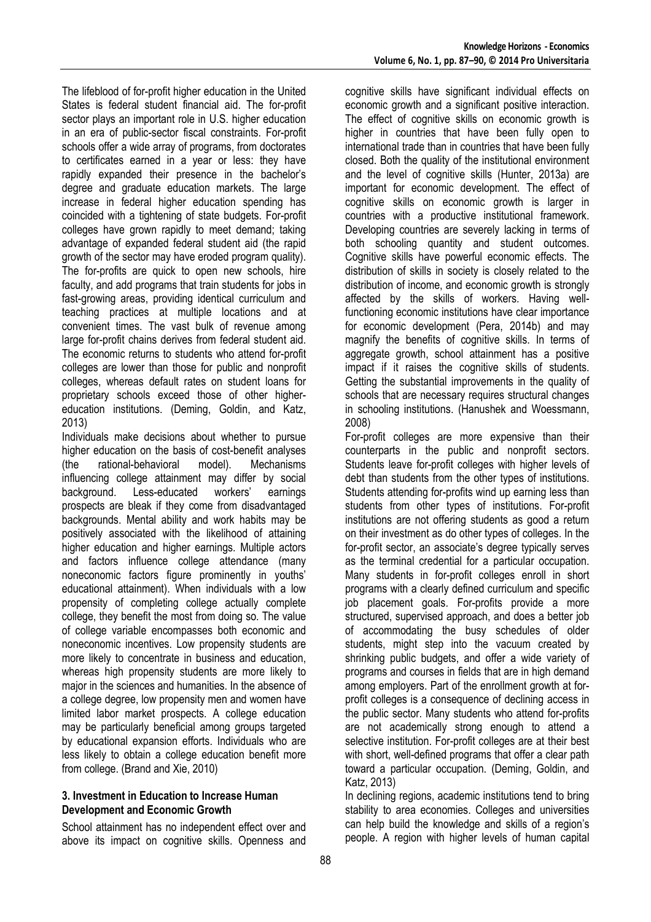The lifeblood of for-profit higher education in the United States is federal student financial aid. The for-profit sector plays an important role in U.S. higher education in an era of public-sector fiscal constraints. For-profit schools offer a wide array of programs, from doctorates to certificates earned in a year or less: they have rapidly expanded their presence in the bachelor's degree and graduate education markets. The large increase in federal higher education spending has coincided with a tightening of state budgets. For-profit colleges have grown rapidly to meet demand; taking advantage of expanded federal student aid (the rapid growth of the sector may have eroded program quality). The for-profits are quick to open new schools, hire faculty, and add programs that train students for jobs in fast-growing areas, providing identical curriculum and teaching practices at multiple locations and at convenient times. The vast bulk of revenue among large for-profit chains derives from federal student aid. The economic returns to students who attend for-profit colleges are lower than those for public and nonprofit colleges, whereas default rates on student loans for proprietary schools exceed those of other highereducation institutions. (Deming, Goldin, and Katz, 2013)

Individuals make decisions about whether to pursue higher education on the basis of cost-benefit analyses (the rational-behavioral model). Mechanisms influencing college attainment may differ by social background. Less-educated workers' earnings prospects are bleak if they come from disadvantaged backgrounds. Mental ability and work habits may be positively associated with the likelihood of attaining higher education and higher earnings. Multiple actors and factors influence college attendance (many noneconomic factors figure prominently in youths' educational attainment). When individuals with a low propensity of completing college actually complete college, they benefit the most from doing so. The value of college variable encompasses both economic and noneconomic incentives. Low propensity students are more likely to concentrate in business and education, whereas high propensity students are more likely to major in the sciences and humanities. In the absence of a college degree, low propensity men and women have limited labor market prospects. A college education may be particularly beneficial among groups targeted by educational expansion efforts. Individuals who are less likely to obtain a college education benefit more from college. (Brand and Xie, 2010)

#### **3. Investment in Education to Increase Human Development and Economic Growth**

School attainment has no independent effect over and above its impact on cognitive skills. Openness and cognitive skills have significant individual effects on economic growth and a significant positive interaction. The effect of cognitive skills on economic growth is higher in countries that have been fully open to international trade than in countries that have been fully closed. Both the quality of the institutional environment and the level of cognitive skills (Hunter, 2013a) are important for economic development. The effect of cognitive skills on economic growth is larger in countries with a productive institutional framework. Developing countries are severely lacking in terms of both schooling quantity and student outcomes. Cognitive skills have powerful economic effects. The distribution of skills in society is closely related to the distribution of income, and economic growth is strongly affected by the skills of workers. Having wellfunctioning economic institutions have clear importance for economic development (Pera, 2014b) and may magnify the benefits of cognitive skills. In terms of aggregate growth, school attainment has a positive impact if it raises the cognitive skills of students. Getting the substantial improvements in the quality of schools that are necessary requires structural changes in schooling institutions. (Hanushek and Woessmann, 2008)

For-profit colleges are more expensive than their counterparts in the public and nonprofit sectors. Students leave for-profit colleges with higher levels of debt than students from the other types of institutions. Students attending for-profits wind up earning less than students from other types of institutions. For-profit institutions are not offering students as good a return on their investment as do other types of colleges. In the for-profit sector, an associate's degree typically serves as the terminal credential for a particular occupation. Many students in for-profit colleges enroll in short programs with a clearly defined curriculum and specific job placement goals. For-profits provide a more structured, supervised approach, and does a better job of accommodating the busy schedules of older students, might step into the vacuum created by shrinking public budgets, and offer a wide variety of programs and courses in fields that are in high demand among employers. Part of the enrollment growth at forprofit colleges is a consequence of declining access in the public sector. Many students who attend for-profits are not academically strong enough to attend a selective institution. For-profit colleges are at their best with short, well-defined programs that offer a clear path toward a particular occupation. (Deming, Goldin, and Katz, 2013)

In declining regions, academic institutions tend to bring stability to area economies. Colleges and universities can help build the knowledge and skills of a region's people. A region with higher levels of human capital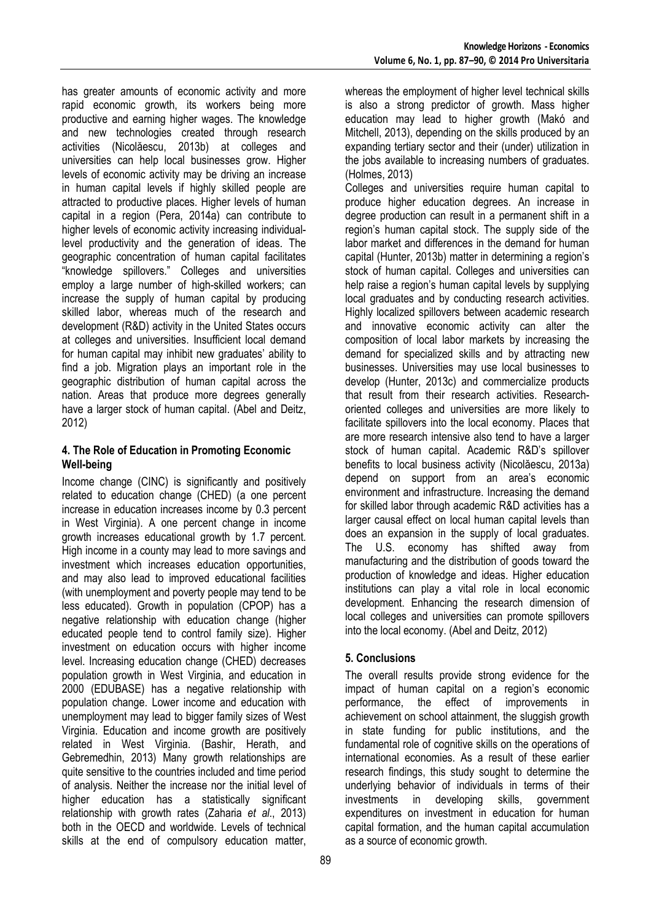has greater amounts of economic activity and more rapid economic growth, its workers being more productive and earning higher wages. The knowledge and new technologies created through research activities (Nicolăescu, 2013b) at colleges and universities can help local businesses grow. Higher levels of economic activity may be driving an increase in human capital levels if highly skilled people are attracted to productive places. Higher levels of human capital in a region (Pera, 2014a) can contribute to higher levels of economic activity increasing individuallevel productivity and the generation of ideas. The geographic concentration of human capital facilitates "knowledge spillovers." Colleges and universities employ a large number of high-skilled workers; can increase the supply of human capital by producing skilled labor, whereas much of the research and development (R&D) activity in the United States occurs at colleges and universities. Insufficient local demand for human capital may inhibit new graduates' ability to find a job. Migration plays an important role in the geographic distribution of human capital across the nation. Areas that produce more degrees generally have a larger stock of human capital. (Abel and Deitz, 2012)

## **4. The Role of Education in Promoting Economic Well-being**

Income change (CINC) is significantly and positively related to education change (CHED) (a one percent increase in education increases income by 0.3 percent in West Virginia). A one percent change in income growth increases educational growth by 1.7 percent. High income in a county may lead to more savings and investment which increases education opportunities, and may also lead to improved educational facilities (with unemployment and poverty people may tend to be less educated). Growth in population (CPOP) has a negative relationship with education change (higher educated people tend to control family size). Higher investment on education occurs with higher income level. Increasing education change (CHED) decreases population growth in West Virginia, and education in 2000 (EDUBASE) has a negative relationship with population change. Lower income and education with unemployment may lead to bigger family sizes of West Virginia. Education and income growth are positively related in West Virginia. (Bashir, Herath, and Gebremedhin, 2013) Many growth relationships are quite sensitive to the countries included and time period of analysis. Neither the increase nor the initial level of higher education has a statistically significant relationship with growth rates (Zaharia *et al*., 2013) both in the OECD and worldwide. Levels of technical skills at the end of compulsory education matter,

whereas the employment of higher level technical skills is also a strong predictor of growth. Mass higher education may lead to higher growth (Makó and Mitchell, 2013), depending on the skills produced by an expanding tertiary sector and their (under) utilization in the jobs available to increasing numbers of graduates. (Holmes, 2013)

Colleges and universities require human capital to produce higher education degrees. An increase in degree production can result in a permanent shift in a region's human capital stock. The supply side of the labor market and differences in the demand for human capital (Hunter, 2013b) matter in determining a region's stock of human capital. Colleges and universities can help raise a region's human capital levels by supplying local graduates and by conducting research activities. Highly localized spillovers between academic research and innovative economic activity can alter the composition of local labor markets by increasing the demand for specialized skills and by attracting new businesses. Universities may use local businesses to develop (Hunter, 2013c) and commercialize products that result from their research activities. Researchoriented colleges and universities are more likely to facilitate spillovers into the local economy. Places that are more research intensive also tend to have a larger stock of human capital. Academic R&D's spillover benefits to local business activity (Nicolăescu, 2013a) depend on support from an area's economic environment and infrastructure. Increasing the demand for skilled labor through academic R&D activities has a larger causal effect on local human capital levels than does an expansion in the supply of local graduates. The U.S. economy has shifted away from manufacturing and the distribution of goods toward the production of knowledge and ideas. Higher education institutions can play a vital role in local economic development. Enhancing the research dimension of local colleges and universities can promote spillovers into the local economy. (Abel and Deitz, 2012)

# **5. Conclusions**

The overall results provide strong evidence for the impact of human capital on a region's economic performance, the effect of improvements in achievement on school attainment, the sluggish growth in state funding for public institutions, and the fundamental role of cognitive skills on the operations of international economies. As a result of these earlier research findings, this study sought to determine the underlying behavior of individuals in terms of their investments in developing skills, government expenditures on investment in education for human capital formation, and the human capital accumulation as a source of economic growth.